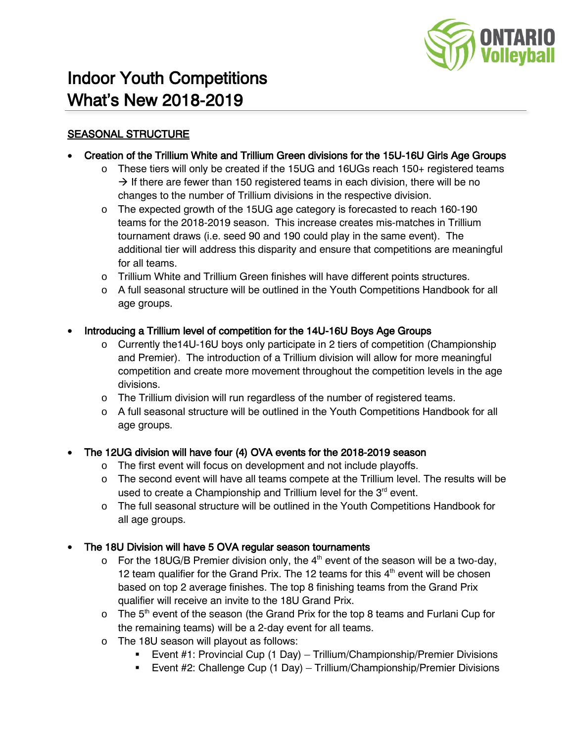

# Indoor Youth Competitions What's New 2018-2019

## SEASONAL STRUCTURE

- Creation of the Trillium White and Trillium Green divisions for the 15U-16U Girls Age Groups
	- $\circ$  These tiers will only be created if the 15UG and 16UGs reach 150+ registered teams  $\rightarrow$  If there are fewer than 150 registered teams in each division, there will be no changes to the number of Trillium divisions in the respective division.
	- o The expected growth of the 15UG age category is forecasted to reach 160-190 teams for the 2018-2019 season. This increase creates mis-matches in Trillium tournament draws (i.e. seed 90 and 190 could play in the same event). The additional tier will address this disparity and ensure that competitions are meaningful for all teams.
	- o Trillium White and Trillium Green finishes will have different points structures.
	- o A full seasonal structure will be outlined in the Youth Competitions Handbook for all age groups.

## • Introducing a Trillium level of competition for the 14U-16U Boys Age Groups

- o Currently the14U-16U boys only participate in 2 tiers of competition (Championship and Premier). The introduction of a Trillium division will allow for more meaningful competition and create more movement throughout the competition levels in the age divisions.
- o The Trillium division will run regardless of the number of registered teams.
- o A full seasonal structure will be outlined in the Youth Competitions Handbook for all age groups.

## • The 12UG division will have four (4) OVA events for the 2018-2019 season

- o The first event will focus on development and not include playoffs.
- o The second event will have all teams compete at the Trillium level. The results will be used to create a Championship and Trillium level for the  $3<sup>rd</sup>$  event.
- o The full seasonal structure will be outlined in the Youth Competitions Handbook for all age groups.

## • The 18U Division will have 5 OVA regular season tournaments

- $\circ$  For the 18UG/B Premier division only, the 4<sup>th</sup> event of the season will be a two-day, 12 team qualifier for the Grand Prix. The 12 teams for this  $4<sup>th</sup>$  event will be chosen based on top 2 average finishes. The top 8 finishing teams from the Grand Prix qualifier will receive an invite to the 18U Grand Prix.
- $\circ$  The 5<sup>th</sup> event of the season (the Grand Prix for the top 8 teams and Furlani Cup for the remaining teams) will be a 2-day event for all teams.
- o The 18U season will playout as follows:
	- Event #1: Provincial Cup (1 Day) Trillium/Championship/Premier Divisions
	- Event #2: Challenge Cup (1 Day) Trillium/Championship/Premier Divisions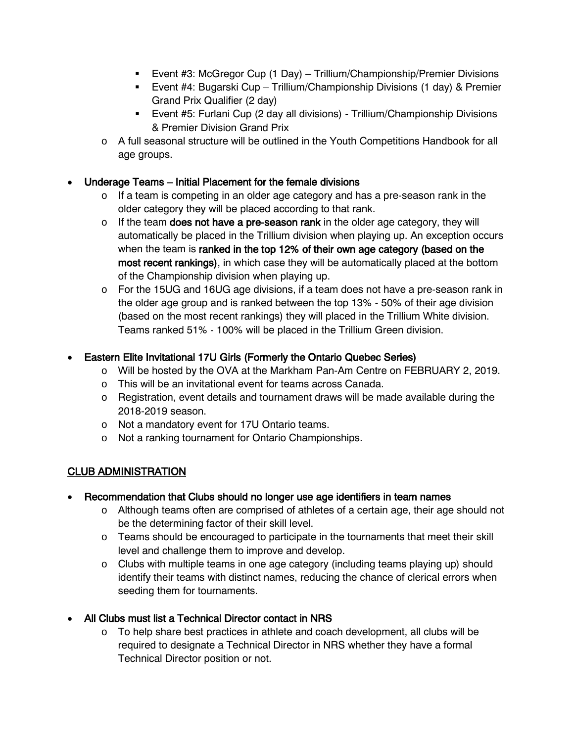- Event #3: McGregor Cup (1 Day) Trillium/Championship/Premier Divisions
- Event #4: Bugarski Cup Trillium/Championship Divisions (1 day) & Premier Grand Prix Qualifier (2 day)
- Event #5: Furlani Cup (2 day all divisions) Trillium/Championship Divisions & Premier Division Grand Prix
- o A full seasonal structure will be outlined in the Youth Competitions Handbook for all age groups.

## • Underage Teams – Initial Placement for the female divisions

- o If a team is competing in an older age category and has a pre-season rank in the older category they will be placed according to that rank.
- $\circ$  If the team does not have a pre-season rank in the older age category, they will automatically be placed in the Trillium division when playing up. An exception occurs when the team is ranked in the top 12% of their own age category (based on the most recent rankings), in which case they will be automatically placed at the bottom of the Championship division when playing up.
- $\circ$  For the 15UG and 16UG age divisions, if a team does not have a pre-season rank in the older age group and is ranked between the top 13% - 50% of their age division (based on the most recent rankings) they will placed in the Trillium White division. Teams ranked 51% - 100% will be placed in the Trillium Green division.

## • Eastern Elite Invitational 17U Girls (Formerly the Ontario Quebec Series)

- o Will be hosted by the OVA at the Markham Pan-Am Centre on FEBRUARY 2, 2019.
- o This will be an invitational event for teams across Canada.
- $\circ$  Registration, event details and tournament draws will be made available during the 2018-2019 season.
- o Not a mandatory event for 17U Ontario teams.
- o Not a ranking tournament for Ontario Championships.

## CLUB ADMINISTRATION

- Recommendation that Clubs should no longer use age identifiers in team names
	- o Although teams often are comprised of athletes of a certain age, their age should not be the determining factor of their skill level.
	- $\circ$  Teams should be encouraged to participate in the tournaments that meet their skill level and challenge them to improve and develop.
	- $\circ$  Clubs with multiple teams in one age category (including teams playing up) should identify their teams with distinct names, reducing the chance of clerical errors when seeding them for tournaments.
- All Clubs must list a Technical Director contact in NRS
	- $\circ$  To help share best practices in athlete and coach development, all clubs will be required to designate a Technical Director in NRS whether they have a formal Technical Director position or not.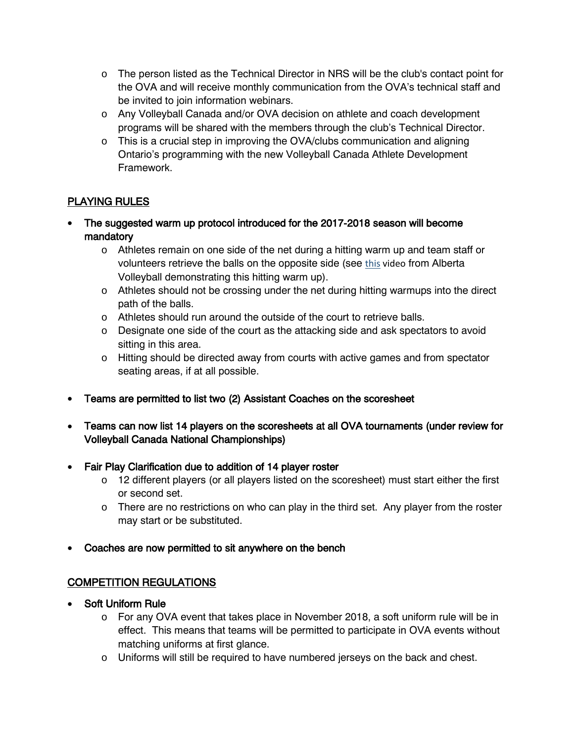- o The person listed as the Technical Director in NRS will be the club's contact point for the OVA and will receive monthly communication from the OVA's technical staff and be invited to join information webinars.
- o Any Volleyball Canada and/or OVA decision on athlete and coach development programs will be shared with the members through the club's Technical Director.
- $\circ$  This is a crucial step in improving the OVA/clubs communication and aligning Ontario's programming with the new Volleyball Canada Athlete Development Framework.

## PLAYING RULES

- The suggested warm up protocol introduced for the 2017-2018 season will become mandatory
	- $\circ$  Athletes remain on one side of the net during a hitting warm up and team staff or volunteers retrieve the balls on the opposite side (see this [video](https://www.youtube.com/watch?v=7Muk3hxjXaQ&feature=youtu.be) from Alberta Volleyball demonstrating this hitting warm up).
	- $\circ$  Athletes should not be crossing under the net during hitting warmups into the direct path of the balls.
	- o Athletes should run around the outside of the court to retrieve balls.
	- $\circ$  Designate one side of the court as the attacking side and ask spectators to avoid sitting in this area.
	- $\circ$  Hitting should be directed away from courts with active games and from spectator seating areas, if at all possible.
- Teams are permitted to list two (2) Assistant Coaches on the scoresheet
- Teams can now list 14 players on the scoresheets at all OVA tournaments (under review for Volleyball Canada National Championships)
- Fair Play Clarification due to addition of 14 player roster
	- $\circ$  12 different players (or all players listed on the scoresheet) must start either the first or second set.
	- $\circ$  There are no restrictions on who can play in the third set. Any player from the roster may start or be substituted.
- Coaches are now permitted to sit anywhere on the bench

## COMPETITION REGULATIONS

- Soft Uniform Rule
	- o For any OVA event that takes place in November 2018, a soft uniform rule will be in effect. This means that teams will be permitted to participate in OVA events without matching uniforms at first glance.
	- $\circ$  Uniforms will still be required to have numbered jerseys on the back and chest.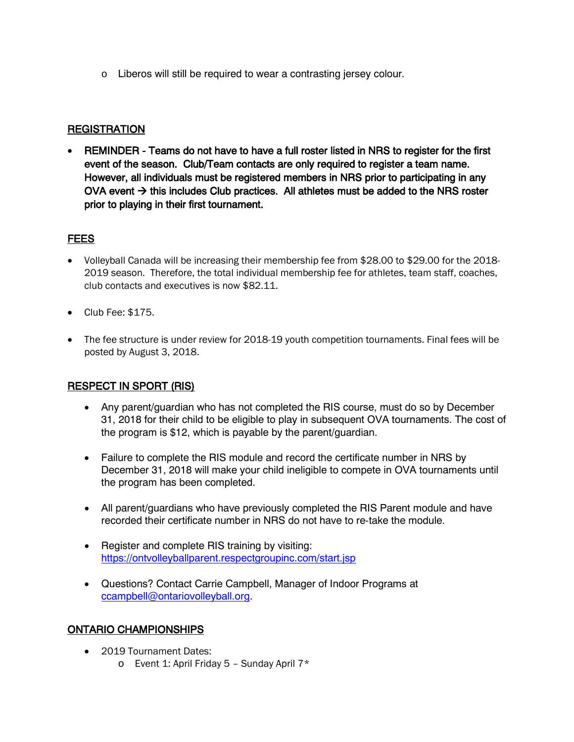o Liberos will still be required to wear a contrasting jersey colour.

## **REGISTRATION**

• REMINDER - Teams do not have to have a full roster listed in NRS to register for the first event of the season. Club/Team contacts are only required to register a team name. However, all individuals must be registered members in NRS prior to participating in any OVA event  $\rightarrow$  this includes Club practices. All athletes must be added to the NRS roster prior to playing in their first tournament.

## FEES

- Volleyball Canada will be increasing their membership fee from \$28.00 to \$29.00 for the 2018- 2019 season. Therefore, the total individual membership fee for athletes, team staff, coaches, club contacts and executives is now \$82.11.
- Club Fee: \$175.
- The fee structure is under review for 2018-19 youth competition tournaments. Final fees will be posted by August 3, 2018.

## RESPECT IN SPORT (RIS)

- Any parent/guardian who has not completed the RIS course, must do so by December 31, 2018 for their child to be eligible to play in subsequent OVA tournaments. The cost of the program is \$12, which is payable by the parent/guardian.
- Failure to complete the RIS module and record the certificate number in NRS by December 31, 2018 will make your child ineligible to compete in OVA tournaments until the program has been completed.
- All parent/guardians who have previously completed the RIS Parent module and have recorded their certificate number in NRS do not have to re-take the module.
- Register and complete RIS training by visiting: <https://ontvolleyballparent.respectgroupinc.com/start.jsp>
- Questions? Contact Carrie Campbell, Manager of Indoor Programs at [ccampbell@ontariovolleyball.org.](mailto:ccampbell@ontariovolleyball.org)

## ONTARIO CHAMPIONSHIPS

- 2019 Tournament Dates:
	- $\circ$  Event 1: April Friday 5 Sunday April 7\*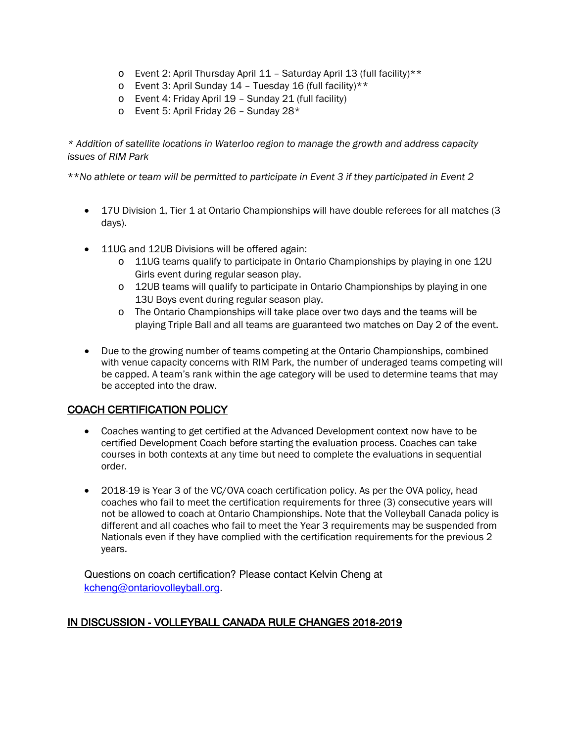- o Event 2: April Thursday April 11 Saturday April 13 (full facility)\*\*
- $\circ$  Event 3: April Sunday 14 Tuesday 16 (full facility)\*\*
- o Event 4: Friday April 19 Sunday 21 (full facility)
- $\circ$  Event 5: April Friday 26 Sunday 28\*

*\* Addition of satellite locations in Waterloo region to manage the growth and address capacity issues of RIM Park* 

\*\**No athlete or team will be permitted to participate in Event 3 if they participated in Event 2*

- 17U Division 1, Tier 1 at Ontario Championships will have double referees for all matches (3) days).
- 11UG and 12UB Divisions will be offered again:
	- o 11UG teams qualify to participate in Ontario Championships by playing in one 12U Girls event during regular season play.
	- o 12UB teams will qualify to participate in Ontario Championships by playing in one 13U Boys event during regular season play.
	- o The Ontario Championships will take place over two days and the teams will be playing Triple Ball and all teams are guaranteed two matches on Day 2 of the event.
- Due to the growing number of teams competing at the Ontario Championships, combined with venue capacity concerns with RIM Park, the number of underaged teams competing will be capped. A team's rank within the age category will be used to determine teams that may be accepted into the draw.

#### COACH CERTIFICATION POLICY

- Coaches wanting to get certified at the Advanced Development context now have to be certified Development Coach before starting the evaluation process. Coaches can take courses in both contexts at any time but need to complete the evaluations in sequential order.
- 2018-19 is Year 3 of the VC/OVA coach certification policy. As per the OVA policy, head coaches who fail to meet the certification requirements for three (3) consecutive years will not be allowed to coach at Ontario Championships. Note that the Volleyball Canada policy is different and all coaches who fail to meet the Year 3 requirements may be suspended from Nationals even if they have complied with the certification requirements for the previous 2 years.

Questions on coach certification? Please contact Kelvin Cheng at [kcheng@ontariovolleyball.org.](mailto:kcheng@ontariovolleyball.org)

## IN DISCUSSION - VOLLEYBALL CANADA RULE CHANGES 2018-2019